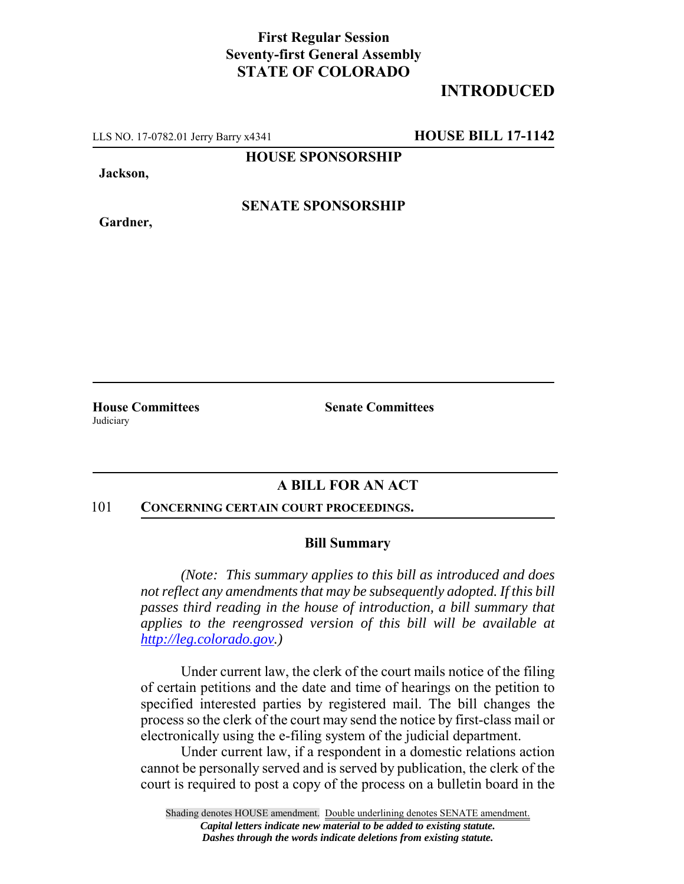## **First Regular Session Seventy-first General Assembly STATE OF COLORADO**

# **INTRODUCED**

LLS NO. 17-0782.01 Jerry Barry x4341 **HOUSE BILL 17-1142**

**HOUSE SPONSORSHIP**

**Jackson,**

**Gardner,**

**SENATE SPONSORSHIP**

Judiciary

**House Committees Senate Committees** 

## **A BILL FOR AN ACT**

#### 101 **CONCERNING CERTAIN COURT PROCEEDINGS.**

### **Bill Summary**

*(Note: This summary applies to this bill as introduced and does not reflect any amendments that may be subsequently adopted. If this bill passes third reading in the house of introduction, a bill summary that applies to the reengrossed version of this bill will be available at http://leg.colorado.gov.)*

Under current law, the clerk of the court mails notice of the filing of certain petitions and the date and time of hearings on the petition to specified interested parties by registered mail. The bill changes the process so the clerk of the court may send the notice by first-class mail or electronically using the e-filing system of the judicial department.

Under current law, if a respondent in a domestic relations action cannot be personally served and is served by publication, the clerk of the court is required to post a copy of the process on a bulletin board in the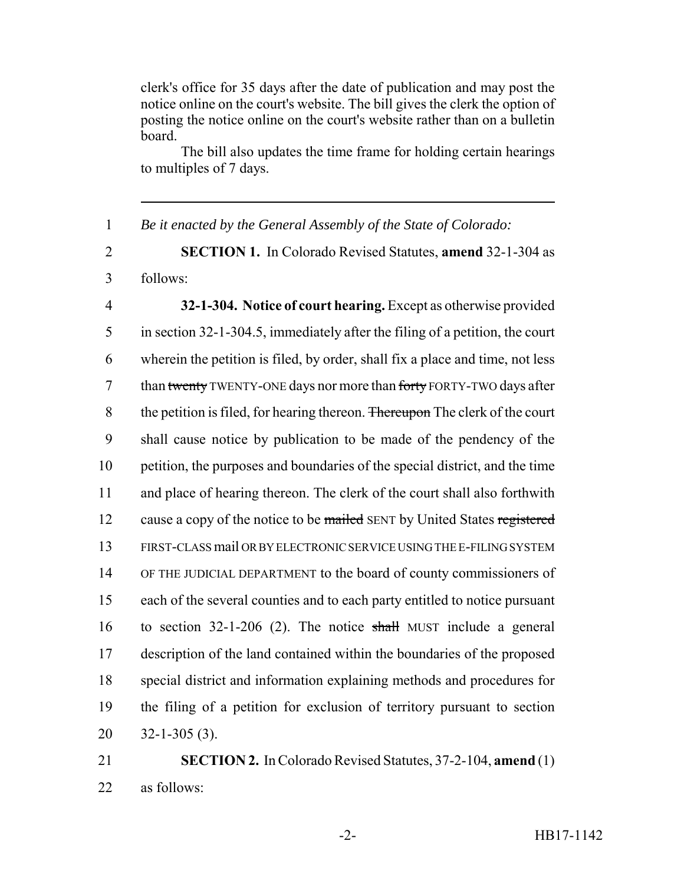clerk's office for 35 days after the date of publication and may post the notice online on the court's website. The bill gives the clerk the option of posting the notice online on the court's website rather than on a bulletin board.

The bill also updates the time frame for holding certain hearings to multiples of 7 days.

 *Be it enacted by the General Assembly of the State of Colorado:* **SECTION 1.** In Colorado Revised Statutes, **amend** 32-1-304 as follows: **32-1-304. Notice of court hearing.** Except as otherwise provided in section 32-1-304.5, immediately after the filing of a petition, the court wherein the petition is filed, by order, shall fix a place and time, not less 7 than twenty TWENTY-ONE days nor more than forty FORTY-TWO days after 8 the petition is filed, for hearing thereon. Thereupon The clerk of the court shall cause notice by publication to be made of the pendency of the petition, the purposes and boundaries of the special district, and the time and place of hearing thereon. The clerk of the court shall also forthwith 12 cause a copy of the notice to be mailed SENT by United States registered FIRST-CLASS mail OR BY ELECTRONIC SERVICE USING THE E-FILING SYSTEM OF THE JUDICIAL DEPARTMENT to the board of county commissioners of each of the several counties and to each party entitled to notice pursuant to section 32-1-206 (2). The notice shall MUST include a general description of the land contained within the boundaries of the proposed special district and information explaining methods and procedures for the filing of a petition for exclusion of territory pursuant to section 32-1-305 (3). **SECTION 2.** In Colorado Revised Statutes, 37-2-104, **amend** (1) as follows: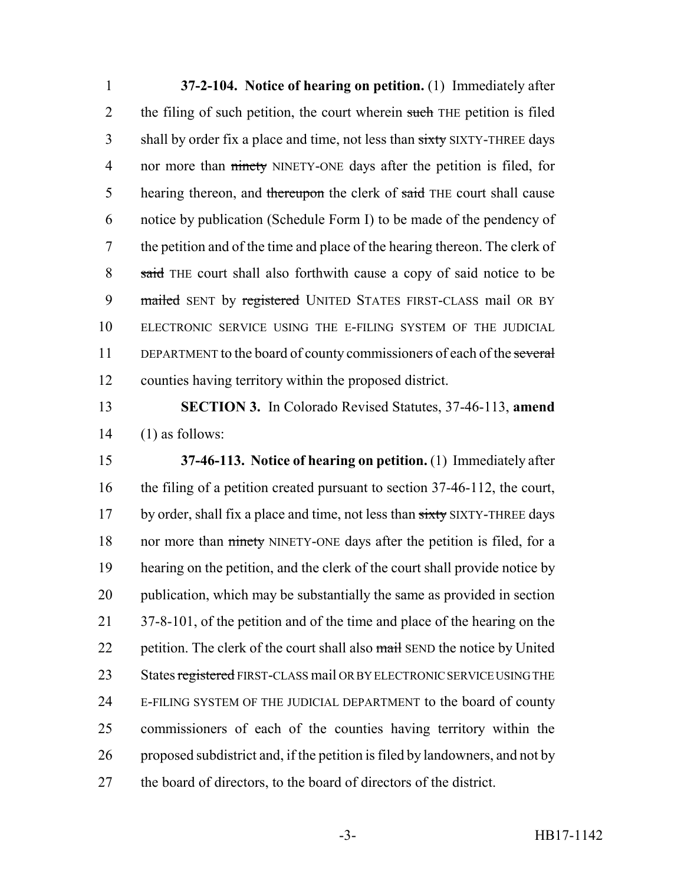1 **37-2-104. Notice of hearing on petition.** (1) Immediately after 2 the filing of such petition, the court wherein such THE petition is filed 3 shall by order fix a place and time, not less than sixty SIXTY-THREE days 4 nor more than ninety NINETY-ONE days after the petition is filed, for 5 hearing thereon, and thereupon the clerk of said THE court shall cause 6 notice by publication (Schedule Form I) to be made of the pendency of 7 the petition and of the time and place of the hearing thereon. The clerk of 8 said THE court shall also forthwith cause a copy of said notice to be 9 mailed SENT by registered UNITED STATES FIRST-CLASS mail OR BY 10 ELECTRONIC SERVICE USING THE E-FILING SYSTEM OF THE JUDICIAL 11 DEPARTMENT to the board of county commissioners of each of the several 12 counties having territory within the proposed district.

13 **SECTION 3.** In Colorado Revised Statutes, 37-46-113, **amend**  $14$  (1) as follows:

 **37-46-113. Notice of hearing on petition.** (1) Immediately after the filing of a petition created pursuant to section 37-46-112, the court, 17 by order, shall fix a place and time, not less than sixty SIXTY-THREE days 18 nor more than ninety NINETY-ONE days after the petition is filed, for a hearing on the petition, and the clerk of the court shall provide notice by publication, which may be substantially the same as provided in section 21 37-8-101, of the petition and of the time and place of the hearing on the 22 petition. The clerk of the court shall also mail SEND the notice by United 23 States registered FIRST-CLASS mail OR BY ELECTRONIC SERVICE USING THE E-FILING SYSTEM OF THE JUDICIAL DEPARTMENT to the board of county commissioners of each of the counties having territory within the proposed subdistrict and, if the petition is filed by landowners, and not by the board of directors, to the board of directors of the district.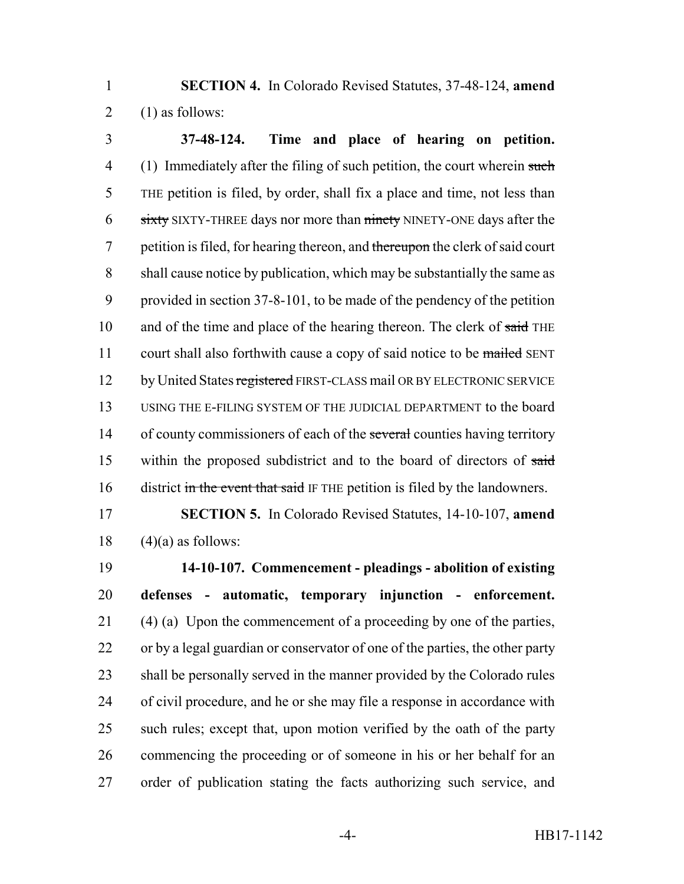**SECTION 4.** In Colorado Revised Statutes, 37-48-124, **amend** 2  $(1)$  as follows:

 **37-48-124. Time and place of hearing on petition.** 4 (1) Immediately after the filing of such petition, the court wherein such THE petition is filed, by order, shall fix a place and time, not less than 6 sixty SIXTY-THREE days nor more than ninety NINETY-ONE days after the 7 petition is filed, for hearing thereon, and thereupon the clerk of said court shall cause notice by publication, which may be substantially the same as provided in section 37-8-101, to be made of the pendency of the petition 10 and of the time and place of the hearing thereon. The clerk of said THE 11 court shall also forthwith cause a copy of said notice to be mailed SENT 12 by United States registered FIRST-CLASS mail OR BY ELECTRONIC SERVICE USING THE E-FILING SYSTEM OF THE JUDICIAL DEPARTMENT to the board 14 of county commissioners of each of the several counties having territory within the proposed subdistrict and to the board of directors of said 16 district in the event that said IF THE petition is filed by the landowners.

 **SECTION 5.** In Colorado Revised Statutes, 14-10-107, **amend** 18  $(4)(a)$  as follows:

 **14-10-107. Commencement - pleadings - abolition of existing defenses - automatic, temporary injunction - enforcement.** (4) (a) Upon the commencement of a proceeding by one of the parties, or by a legal guardian or conservator of one of the parties, the other party shall be personally served in the manner provided by the Colorado rules of civil procedure, and he or she may file a response in accordance with such rules; except that, upon motion verified by the oath of the party commencing the proceeding or of someone in his or her behalf for an order of publication stating the facts authorizing such service, and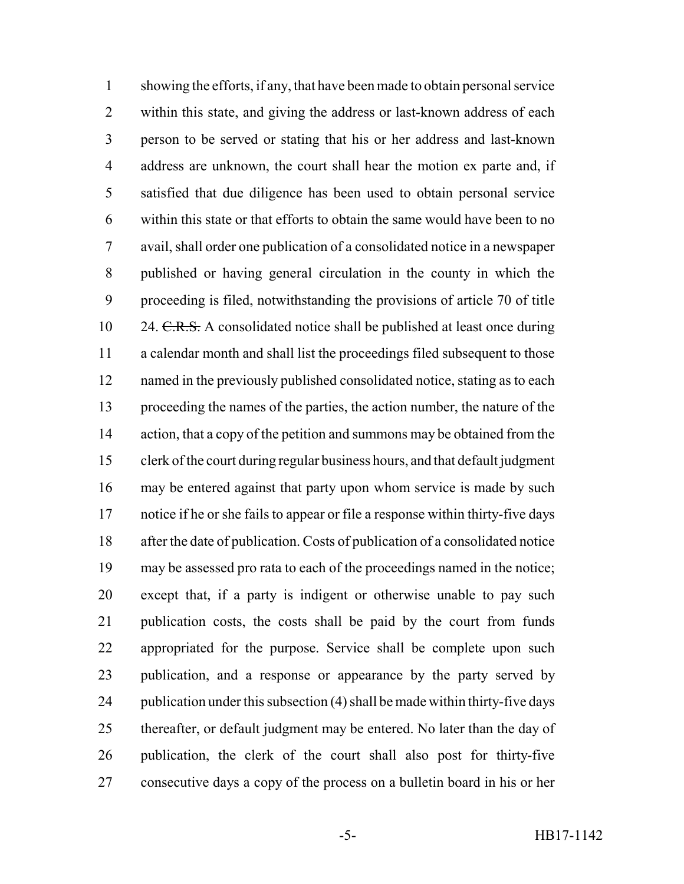showing the efforts, if any, that have been made to obtain personal service within this state, and giving the address or last-known address of each person to be served or stating that his or her address and last-known address are unknown, the court shall hear the motion ex parte and, if satisfied that due diligence has been used to obtain personal service within this state or that efforts to obtain the same would have been to no avail, shall order one publication of a consolidated notice in a newspaper published or having general circulation in the county in which the proceeding is filed, notwithstanding the provisions of article 70 of title 10 24. C.R.S. A consolidated notice shall be published at least once during a calendar month and shall list the proceedings filed subsequent to those named in the previously published consolidated notice, stating as to each proceeding the names of the parties, the action number, the nature of the 14 action, that a copy of the petition and summons may be obtained from the clerk of the court during regular business hours, and that default judgment may be entered against that party upon whom service is made by such notice if he or she fails to appear or file a response within thirty-five days after the date of publication. Costs of publication of a consolidated notice may be assessed pro rata to each of the proceedings named in the notice; except that, if a party is indigent or otherwise unable to pay such publication costs, the costs shall be paid by the court from funds appropriated for the purpose. Service shall be complete upon such publication, and a response or appearance by the party served by publication under this subsection (4) shall be made within thirty-five days thereafter, or default judgment may be entered. No later than the day of publication, the clerk of the court shall also post for thirty-five consecutive days a copy of the process on a bulletin board in his or her